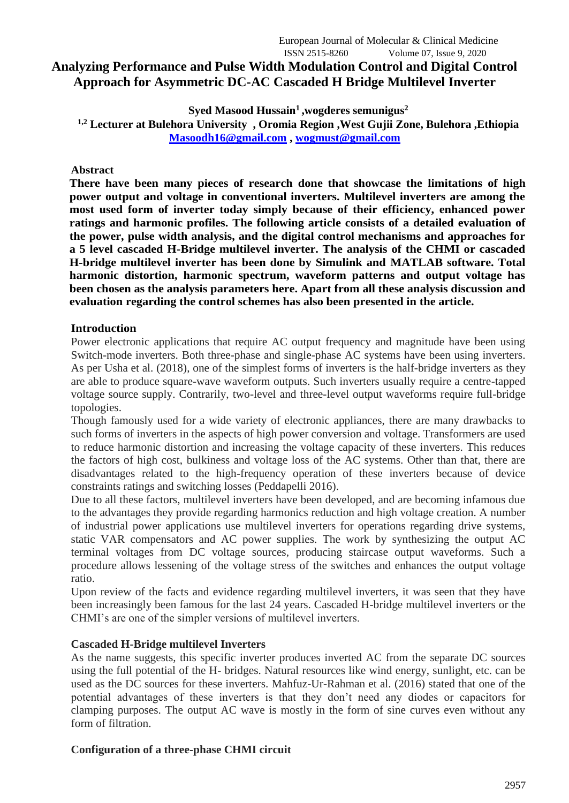# **Analyzing Performance and Pulse Width Modulation Control and Digital Control Approach for Asymmetric DC-AC Cascaded H Bridge Multilevel Inverter**

**Syed Masood Hussain<sup>1</sup> ,wogderes semunigus<sup>2</sup> 1,2 Lecturer at Bulehora University , Oromia Region ,West Gujii Zone, Bulehora ,Ethiopia [Masoodh16@gmail.com](mailto:Masoodh16@gmail.com) , [wogmust@gmail.com](mailto:wogmust@gmail.com)**

## **Abstract**

**There have been many pieces of research done that showcase the limitations of high power output and voltage in conventional inverters. Multilevel inverters are among the most used form of inverter today simply because of their efficiency, enhanced power ratings and harmonic profiles. The following article consists of a detailed evaluation of the power, pulse width analysis, and the digital control mechanisms and approaches for a 5 level cascaded H-Bridge multilevel inverter. The analysis of the CHMI or cascaded H-bridge multilevel inverter has been done by Simulink and MATLAB software. Total harmonic distortion, harmonic spectrum, waveform patterns and output voltage has been chosen as the analysis parameters here. Apart from all these analysis discussion and evaluation regarding the control schemes has also been presented in the article.**

# **Introduction**

Power electronic applications that require AC output frequency and magnitude have been using Switch-mode inverters. Both three-phase and single-phase AC systems have been using inverters. As per Usha et al. (2018), one of the simplest forms of inverters is the half-bridge inverters as they are able to produce square-wave waveform outputs. Such inverters usually require a centre-tapped voltage source supply. Contrarily, two-level and three-level output waveforms require full-bridge topologies.

Though famously used for a wide variety of electronic appliances, there are many drawbacks to such forms of inverters in the aspects of high power conversion and voltage. Transformers are used to reduce harmonic distortion and increasing the voltage capacity of these inverters. This reduces the factors of high cost, bulkiness and voltage loss of the AC systems. Other than that, there are disadvantages related to the high-frequency operation of these inverters because of device constraints ratings and switching losses (Peddapelli 2016).

Due to all these factors, multilevel inverters have been developed, and are becoming infamous due to the advantages they provide regarding harmonics reduction and high voltage creation. A number of industrial power applications use multilevel inverters for operations regarding drive systems, static VAR compensators and AC power supplies. The work by synthesizing the output AC terminal voltages from DC voltage sources, producing staircase output waveforms. Such a procedure allows lessening of the voltage stress of the switches and enhances the output voltage ratio.

Upon review of the facts and evidence regarding multilevel inverters, it was seen that they have been increasingly been famous for the last 24 years. Cascaded H-bridge multilevel inverters or the CHMI's are one of the simpler versions of multilevel inverters.

## **Cascaded H-Bridge multilevel Inverters**

As the name suggests, this specific inverter produces inverted AC from the separate DC sources using the full potential of the H- bridges. Natural resources like wind energy, sunlight, etc. can be used as the DC sources for these inverters. Mahfuz-Ur-Rahman et al. (2016) stated that one of the potential advantages of these inverters is that they don't need any diodes or capacitors for clamping purposes. The output AC wave is mostly in the form of sine curves even without any form of filtration.

# **Configuration of a three-phase CHMI circuit**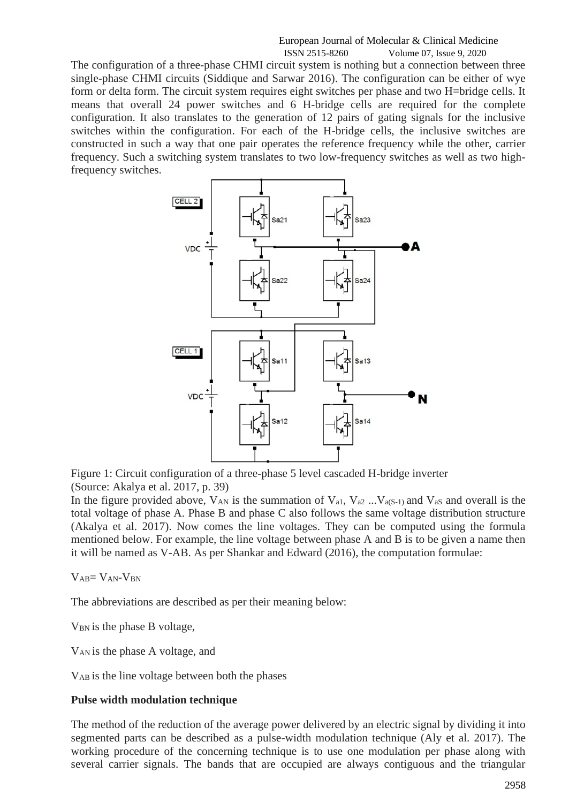The configuration of a three-phase CHMI circuit system is nothing but a connection between three single-phase CHMI circuits (Siddique and Sarwar 2016). The configuration can be either of wye form or delta form. The circuit system requires eight switches per phase and two H=bridge cells. It means that overall 24 power switches and 6 H-bridge cells are required for the complete configuration. It also translates to the generation of 12 pairs of gating signals for the inclusive switches within the configuration. For each of the H-bridge cells, the inclusive switches are constructed in such a way that one pair operates the reference frequency while the other, carrier frequency. Such a switching system translates to two low-frequency switches as well as two highfrequency switches.



Figure 1: Circuit configuration of a three-phase 5 level cascaded H-bridge inverter (Source: Akalya et al. 2017, p. 39)

In the figure provided above,  $V_{AN}$  is the summation of  $V_{a1}$ ,  $V_{a2}$  ...  $V_{a(S-1)}$  and  $V_{aS}$  and overall is the total voltage of phase A. Phase B and phase C also follows the same voltage distribution structure (Akalya et al. 2017). Now comes the line voltages. They can be computed using the formula mentioned below. For example, the line voltage between phase A and B is to be given a name then it will be named as V-AB. As per Shankar and Edward (2016), the computation formulae:

 $V_{AB} = V_{AN} - V_{BN}$ 

The abbreviations are described as per their meaning below:

 $V_{BN}$  is the phase B voltage,

VAN is the phase A voltage, and

VAB is the line voltage between both the phases

## **Pulse width modulation technique**

The method of the reduction of the average power delivered by an electric signal by dividing it into segmented parts can be described as a pulse-width modulation technique (Aly et al. 2017). The working procedure of the concerning technique is to use one modulation per phase along with several carrier signals. The bands that are occupied are always contiguous and the triangular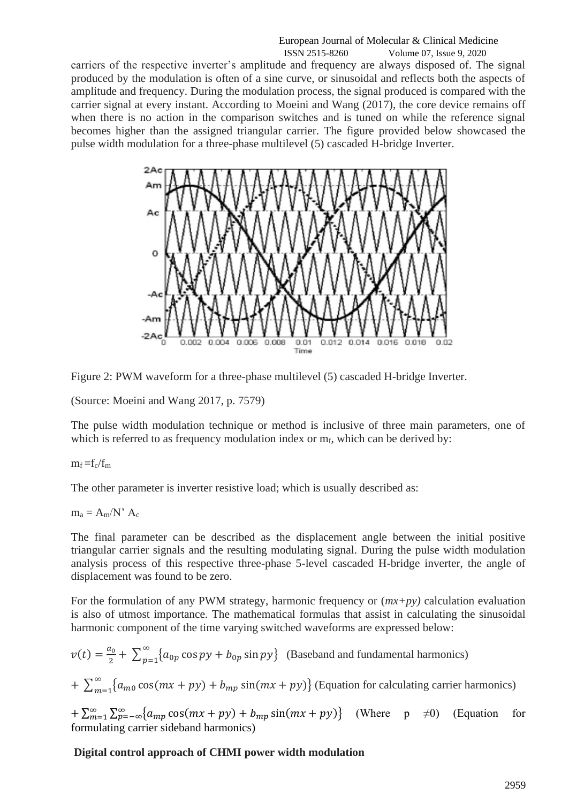carriers of the respective inverter's amplitude and frequency are always disposed of. The signal produced by the modulation is often of a sine curve, or sinusoidal and reflects both the aspects of amplitude and frequency. During the modulation process, the signal produced is compared with the carrier signal at every instant. According to Moeini and Wang (2017), the core device remains off when there is no action in the comparison switches and is tuned on while the reference signal becomes higher than the assigned triangular carrier. The figure provided below showcased the pulse width modulation for a three-phase multilevel (5) cascaded H-bridge Inverter.



Figure 2: PWM waveform for a three-phase multilevel (5) cascaded H-bridge Inverter.

(Source: Moeini and Wang 2017, p. 7579)

The pulse width modulation technique or method is inclusive of three main parameters, one of which is referred to as frequency modulation index or  $m_f$ , which can be derived by:

## $m_f = f_c/f_m$

The other parameter is inverter resistive load; which is usually described as:

 $m_a = A_m/N'$  Ac

The final parameter can be described as the displacement angle between the initial positive triangular carrier signals and the resulting modulating signal. During the pulse width modulation analysis process of this respective three-phase 5-level cascaded H-bridge inverter, the angle of displacement was found to be zero.

For the formulation of any PWM strategy, harmonic frequency or (*mx+py)* calculation evaluation is also of utmost importance. The mathematical formulas that assist in calculating the sinusoidal harmonic component of the time varying switched waveforms are expressed below:

$$
v(t) = \frac{a_0}{2} + \sum_{p=1}^{\infty} \{a_{0p} \cos py + b_{0p} \sin py\}
$$
 (Baseband and fundamental harmonics)  
+ 
$$
\sum_{m=1}^{\infty} \{a_{m0} \cos(mx + py) + b_{mp} \sin(mx + py)\}
$$
 (Equation for calculating carrier harmonics)

 $+\sum_{m=1}^{\infty}\sum_{p=-\infty}^{\infty}\left\{a_{mp}\cos(mx+py)+b_{mp}\sin(mx+py)\right\}$ (Where  $p \neq 0$ ) (Equation for formulating carrier sideband harmonics)

# **Digital control approach of CHMI power width modulation**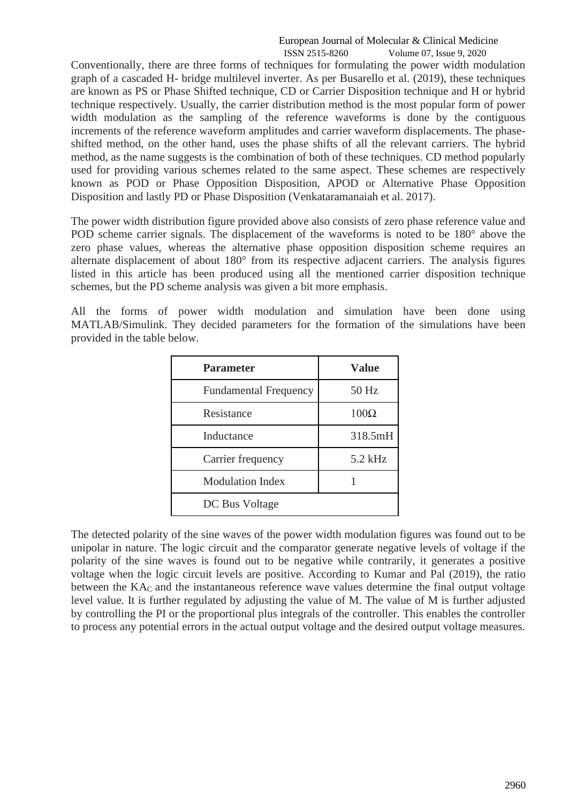Conventionally, there are three forms of techniques for formulating the power width modulation graph of a cascaded H- bridge multilevel inverter. As per Busarello et al. (2019), these techniques are known as PS or Phase Shifted technique, CD or Carrier Disposition technique and H or hybrid technique respectively. Usually, the carrier distribution method is the most popular form of power width modulation as the sampling of the reference waveforms is done by the contiguous increments of the reference waveform amplitudes and carrier waveform displacements. The phaseshifted method, on the other hand, uses the phase shifts of all the relevant carriers. The hybrid method, as the name suggests is the combination of both of these techniques. CD method popularly used for providing various schemes related to the same aspect. These schemes are respectively known as POD or Phase Opposition Disposition, APOD or Alternative Phase Opposition Disposition and lastly PD or Phase Disposition (Venkataramanaiah et al. 2017).

The power width distribution figure provided above also consists of zero phase reference value and POD scheme carrier signals. The displacement of the waveforms is noted to be 180° above the zero phase values, whereas the alternative phase opposition disposition scheme requires an alternate displacement of about 180° from its respective adjacent carriers. The analysis figures listed in this article has been produced using all the mentioned carrier disposition technique schemes, but the PD scheme analysis was given a bit more emphasis.

All the forms of power width modulation and simulation have been done using MATLAB/Simulink. They decided parameters for the formation of the simulations have been provided in the table below.

| <b>Parameter</b>             | <b>Value</b> |
|------------------------------|--------------|
| <b>Fundamental Frequency</b> | 50 Hz        |
| Resistance                   | $100\Omega$  |
| Inductance                   | 318.5mH      |
| Carrier frequency            | 5.2 kHz      |
| <b>Modulation Index</b>      |              |
| DC Bus Voltage               |              |

The detected polarity of the sine waves of the power width modulation figures was found out to be unipolar in nature. The logic circuit and the comparator generate negative levels of voltage if the polarity of the sine waves is found out to be negative while contrarily, it generates a positive voltage when the logic circuit levels are positive. According to Kumar and Pal (2019), the ratio between the  $KA<sub>C</sub>$  and the instantaneous reference wave values determine the final output voltage level value. It is further regulated by adjusting the value of M. The value of M is further adjusted by controlling the PI or the proportional plus integrals of the controller. This enables the controller to process any potential errors in the actual output voltage and the desired output voltage measures.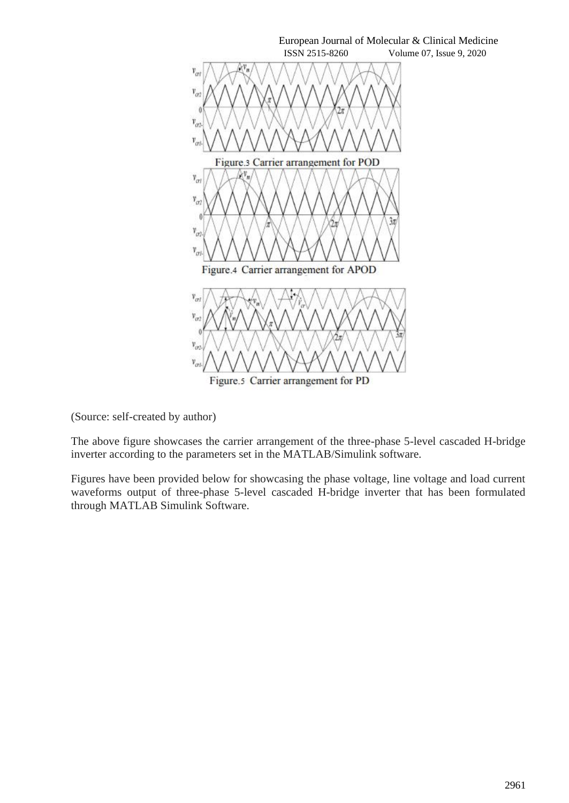

(Source: self-created by author)

The above figure showcases the carrier arrangement of the three-phase 5-level cascaded H-bridge inverter according to the parameters set in the MATLAB/Simulink software.

Figures have been provided below for showcasing the phase voltage, line voltage and load current waveforms output of three-phase 5-level cascaded H-bridge inverter that has been formulated through MATLAB Simulink Software.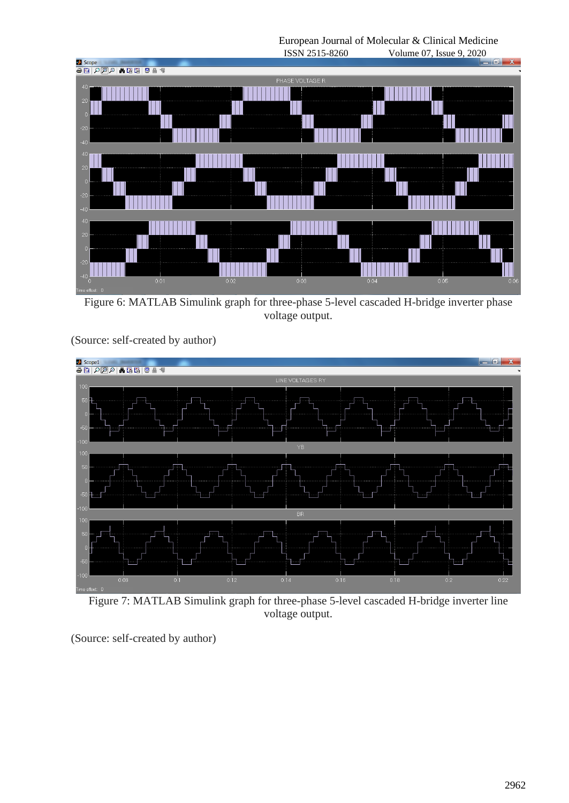European Journal of Molecular & Clinical Medicine



Figure 6: MATLAB Simulink graph for three-phase 5-level cascaded H-bridge inverter phase voltage output.



(Source: self-created by author)

Figure 7: MATLAB Simulink graph for three-phase 5-level cascaded H-bridge inverter line voltage output.

(Source: self-created by author)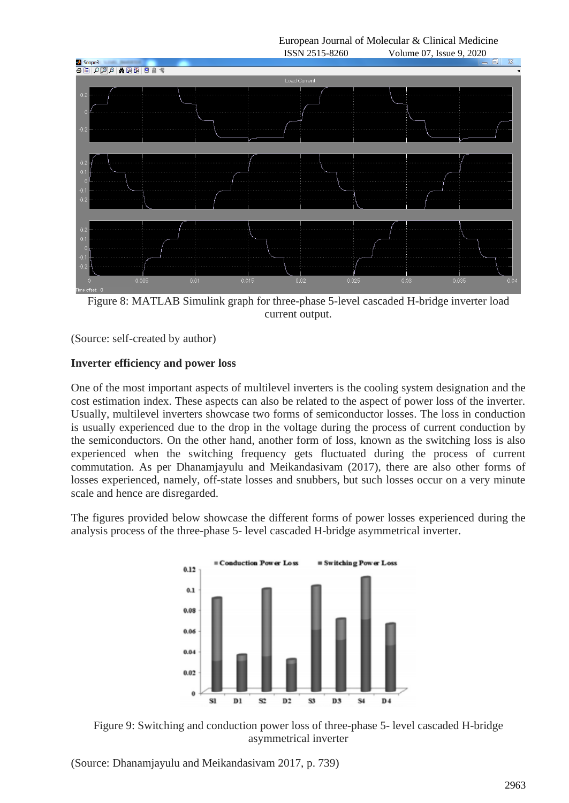European Journal of Molecular & Clinical Medicine



Figure 8: MATLAB Simulink graph for three-phase 5-level cascaded H-bridge inverter load current output.

(Source: self-created by author)

## **Inverter efficiency and power loss**

One of the most important aspects of multilevel inverters is the cooling system designation and the cost estimation index. These aspects can also be related to the aspect of power loss of the inverter. Usually, multilevel inverters showcase two forms of semiconductor losses. The loss in conduction is usually experienced due to the drop in the voltage during the process of current conduction by the semiconductors. On the other hand, another form of loss, known as the switching loss is also experienced when the switching frequency gets fluctuated during the process of current commutation. As per Dhanamjayulu and Meikandasivam (2017), there are also other forms of losses experienced, namely, off-state losses and snubbers, but such losses occur on a very minute scale and hence are disregarded.

The figures provided below showcase the different forms of power losses experienced during the analysis process of the three-phase 5- level cascaded H-bridge asymmetrical inverter.





(Source: Dhanamjayulu and Meikandasivam 2017, p. 739)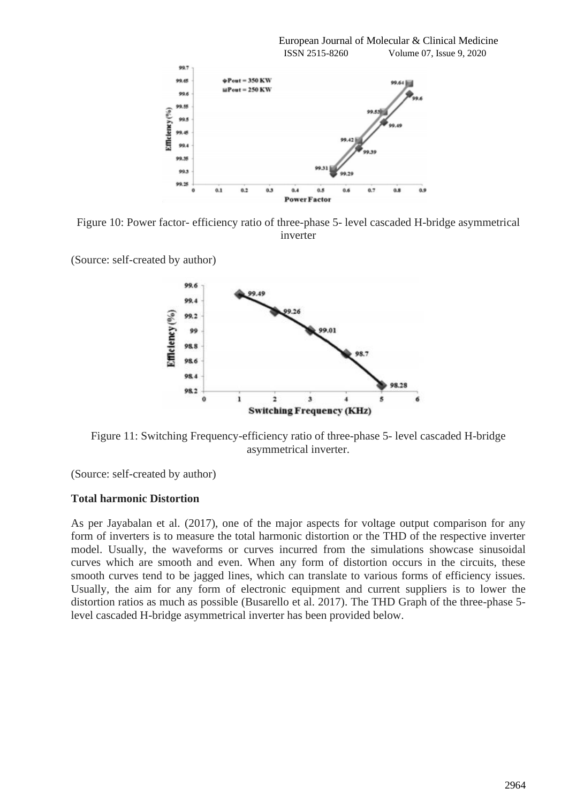

Figure 10: Power factor- efficiency ratio of three-phase 5- level cascaded H-bridge asymmetrical inverter

(Source: self-created by author)



Figure 11: Switching Frequency-efficiency ratio of three-phase 5- level cascaded H-bridge asymmetrical inverter.

(Source: self-created by author)

#### **Total harmonic Distortion**

As per Jayabalan et al. (2017), one of the major aspects for voltage output comparison for any form of inverters is to measure the total harmonic distortion or the THD of the respective inverter model. Usually, the waveforms or curves incurred from the simulations showcase sinusoidal curves which are smooth and even. When any form of distortion occurs in the circuits, these smooth curves tend to be jagged lines, which can translate to various forms of efficiency issues. Usually, the aim for any form of electronic equipment and current suppliers is to lower the distortion ratios as much as possible (Busarello et al. 2017). The THD Graph of the three-phase 5 level cascaded H-bridge asymmetrical inverter has been provided below.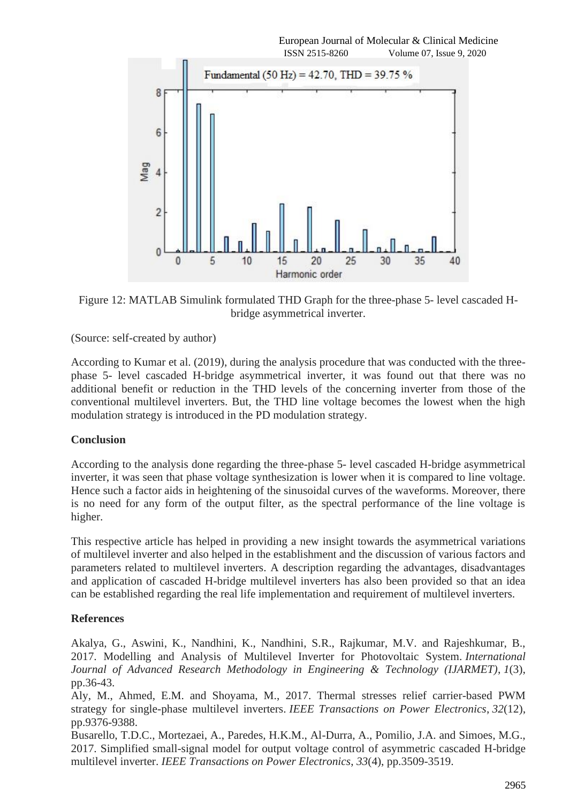

Figure 12: MATLAB Simulink formulated THD Graph for the three-phase 5- level cascaded Hbridge asymmetrical inverter.

(Source: self-created by author)

According to Kumar et al. (2019), during the analysis procedure that was conducted with the threephase 5- level cascaded H-bridge asymmetrical inverter, it was found out that there was no additional benefit or reduction in the THD levels of the concerning inverter from those of the conventional multilevel inverters. But, the THD line voltage becomes the lowest when the high modulation strategy is introduced in the PD modulation strategy.

## **Conclusion**

According to the analysis done regarding the three-phase 5- level cascaded H-bridge asymmetrical inverter, it was seen that phase voltage synthesization is lower when it is compared to line voltage. Hence such a factor aids in heightening of the sinusoidal curves of the waveforms. Moreover, there is no need for any form of the output filter, as the spectral performance of the line voltage is higher.

This respective article has helped in providing a new insight towards the asymmetrical variations of multilevel inverter and also helped in the establishment and the discussion of various factors and parameters related to multilevel inverters. A description regarding the advantages, disadvantages and application of cascaded H-bridge multilevel inverters has also been provided so that an idea can be established regarding the real life implementation and requirement of multilevel inverters.

# **References**

Akalya, G., Aswini, K., Nandhini, K., Nandhini, S.R., Rajkumar, M.V. and Rajeshkumar, B., 2017. Modelling and Analysis of Multilevel Inverter for Photovoltaic System. *International Journal of Advanced Research Methodology in Engineering & Technology (IJARMET)*, *1*(3), pp.36-43.

Aly, M., Ahmed, E.M. and Shoyama, M., 2017. Thermal stresses relief carrier-based PWM strategy for single-phase multilevel inverters. *IEEE Transactions on Power Electronics*, *32*(12), pp.9376-9388.

Busarello, T.D.C., Mortezaei, A., Paredes, H.K.M., Al-Durra, A., Pomilio, J.A. and Simoes, M.G., 2017. Simplified small-signal model for output voltage control of asymmetric cascaded H-bridge multilevel inverter. *IEEE Transactions on Power Electronics*, *33*(4), pp.3509-3519.